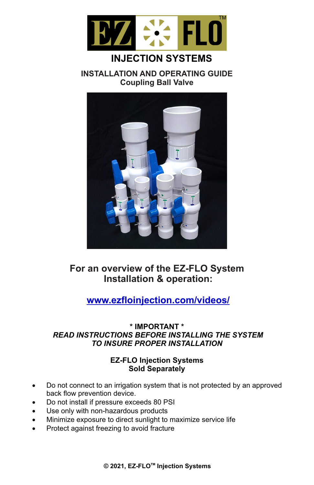

# **INJECTION SYSTEMS**

**INSTALLATION AND OPERATING GUIDE Coupling Ball Valve**



## **For an overview of the EZ-FLO System Installation & operation:**

## **www.ezfloinjection.com/videos/**

### **\* IMPORTANT \***  *READ INSTRUCTIONS BEFORE INSTALLING THE SYSTEM TO INSURE PROPER INSTALLATION*

### **EZ-FLO Injection Systems Sold Separately**

- Do not connect to an irrigation system that is not protected by an approved back flow prevention device.
- Do not install if pressure exceeds 80 PSI
- Use only with non-hazardous products
- Minimize exposure to direct sunlight to maximize service life
- Protect against freezing to avoid fracture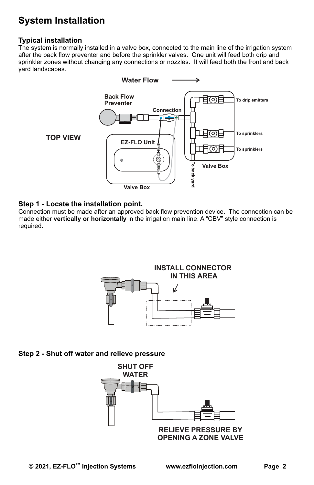# **System Installation**

#### **Typical installation**

The system is normally installed in a valve box, connected to the main line of the irrigation system after the back flow preventer and before the sprinkler valves. One unit will feed both drip and sprinkler zones without changing any connections or nozzles. It will feed both the front and back yard landscapes.



#### **Step 1 - Locate the installation point.**

Connection must be made after an approved back flow prevention device. The connection can be made either **vertically or horizontally** in the irrigation main line. A "CBV" style connection is required.



#### **Step 2 - Shut off water and relieve pressure**

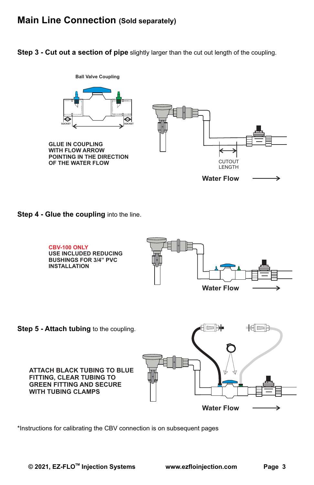### **Main Line Connection (Sold separately)**

**Step 3 - Cut out a section of pipe** slightly larger than the cut out length of the coupling.



**Step 4 - Glue the coupling** into the line.



\*Instructions for calibrating the CBV connection is on subsequent pages